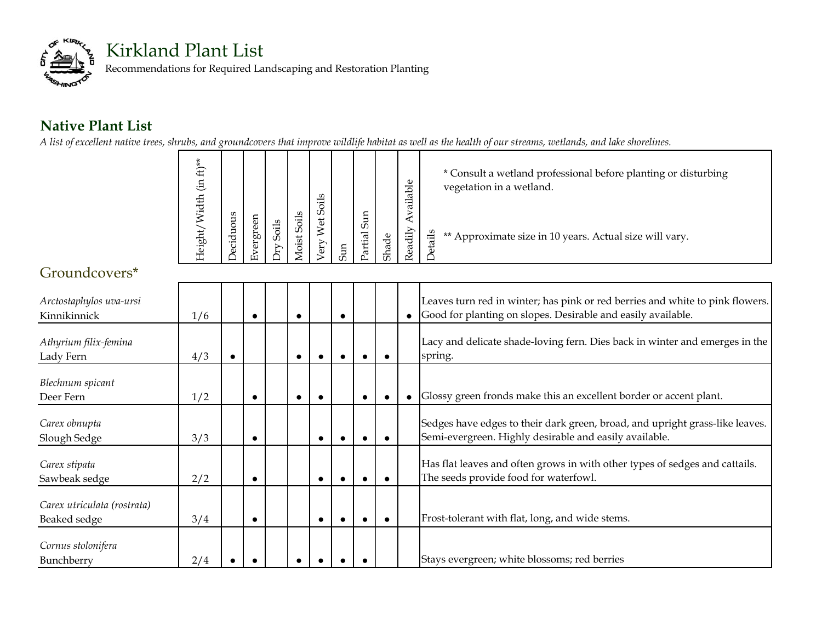

## **Native Plant List**

*A list of excellent native trees, shrubs, and groundcovers that improve wildlife habitat as well as the health of our streams, wetlands, and lake shorelines.*

| $ft)**$<br>$\widetilde{E}$<br>Vidth |           |                |         |                | $\ddot{u}$                |   |                     |           | Φ<br>运<br>ℼ<br>≔<br>ದ |    | * Consult a wetland professional before planting or disturbing<br>vegetation in a wetland. |
|-------------------------------------|-----------|----------------|---------|----------------|---------------------------|---|---------------------|-----------|-----------------------|----|--------------------------------------------------------------------------------------------|
| leight                              | STIC<br>ರ | £<br>Φ<br>ergr | ပာ<br>≂ | Soils<br>foist | S<br>Vet<br>$\epsilon$ ry | E | Sun<br>ಸ<br>.n<br>ä | ಕೆ<br>Sha | eadily                | £. | ** Approximate size in 10 years. Actual size will vary.                                    |

## Groundcovers\*

| Arctostaphylos uva-ursi<br>Kinnikinnick     | 1/6 |           | $\bullet$ |  |  | Leaves turn red in winter; has pink or red berries and white to pink flowers.<br>Good for planting on slopes. Desirable and easily available. |
|---------------------------------------------|-----|-----------|-----------|--|--|-----------------------------------------------------------------------------------------------------------------------------------------------|
| Athyrium filix-femina<br>Lady Fern          | 4/3 |           | $\bullet$ |  |  | Lacy and delicate shade-loving fern. Dies back in winter and emerges in the<br>spring.                                                        |
| Blechnum spicant<br>Deer Fern               | 1/2 |           | $\bullet$ |  |  | Glossy green fronds make this an excellent border or accent plant.                                                                            |
| Carex obnupta<br>Slough Sedge               | 3/3 |           |           |  |  | Sedges have edges to their dark green, broad, and upright grass-like leaves.<br>Semi-evergreen. Highly desirable and easily available.        |
| Carex stipata<br>Sawbeak sedge              | 2/2 | $\bullet$ |           |  |  | Has flat leaves and often grows in with other types of sedges and cattails.<br>The seeds provide food for waterfowl.                          |
| Carex utriculata (rostrata)<br>Beaked sedge | 3/4 |           |           |  |  | Frost-tolerant with flat, long, and wide stems.                                                                                               |
| Cornus stolonifera<br>Bunchberry            | 2/4 |           |           |  |  | Stays evergreen; white blossoms; red berries                                                                                                  |